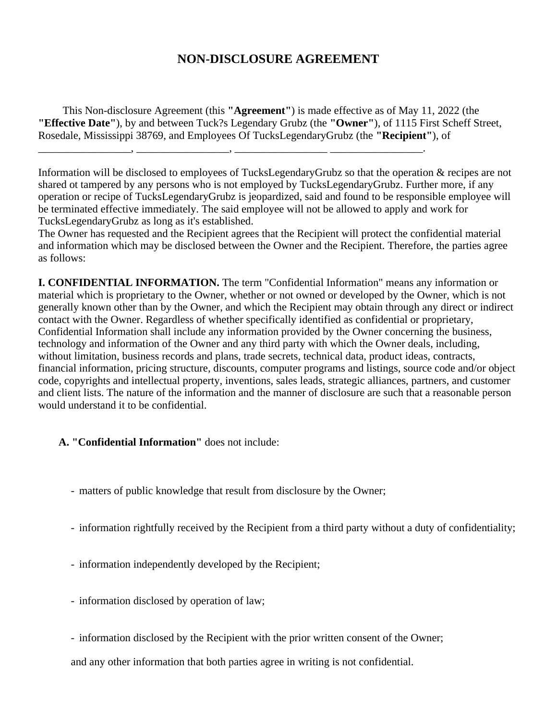## **NON-DISCLOSURE AGREEMENT**

This Non-disclosure Agreement (this **"Agreement"**) is made effective as of May 11, 2022 (the **"Effective Date"**), by and between Tuck?s Legendary Grubz (the **"Owner"**), of 1115 First Scheff Street, Rosedale, Mississippi 38769, and Employees Of TucksLegendaryGrubz (the **"Recipient"**), of

\_\_\_\_\_\_\_\_\_\_\_\_\_\_\_\_\_, \_\_\_\_\_\_\_\_\_\_\_\_\_\_\_\_\_, \_\_\_\_\_\_\_\_\_\_\_\_\_\_\_\_\_ \_\_\_\_\_\_\_\_\_\_\_\_\_\_\_\_\_.

Information will be disclosed to employees of TucksLegendaryGrubz so that the operation & recipes are not shared ot tampered by any persons who is not employed by TucksLegendaryGrubz. Further more, if any operation or recipe of TucksLegendaryGrubz is jeopardized, said and found to be responsible employee will be terminated effective immediately. The said employee will not be allowed to apply and work for TucksLegendaryGrubz as long as it's established.

The Owner has requested and the Recipient agrees that the Recipient will protect the confidential material and information which may be disclosed between the Owner and the Recipient. Therefore, the parties agree as follows:

**I. CONFIDENTIAL INFORMATION.** The term "Confidential Information" means any information or material which is proprietary to the Owner, whether or not owned or developed by the Owner, which is not generally known other than by the Owner, and which the Recipient may obtain through any direct or indirect contact with the Owner. Regardless of whether specifically identified as confidential or proprietary, Confidential Information shall include any information provided by the Owner concerning the business, technology and information of the Owner and any third party with which the Owner deals, including, without limitation, business records and plans, trade secrets, technical data, product ideas, contracts, financial information, pricing structure, discounts, computer programs and listings, source code and/or object code, copyrights and intellectual property, inventions, sales leads, strategic alliances, partners, and customer and client lists. The nature of the information and the manner of disclosure are such that a reasonable person would understand it to be confidential.

## **A. "Confidential Information"** does not include:

- matters of public knowledge that result from disclosure by the Owner;
- information rightfully received by the Recipient from a third party without a duty of confidentiality;
- information independently developed by the Recipient;
- information disclosed by operation of law;
- information disclosed by the Recipient with the prior written consent of the Owner;

and any other information that both parties agree in writing is not confidential.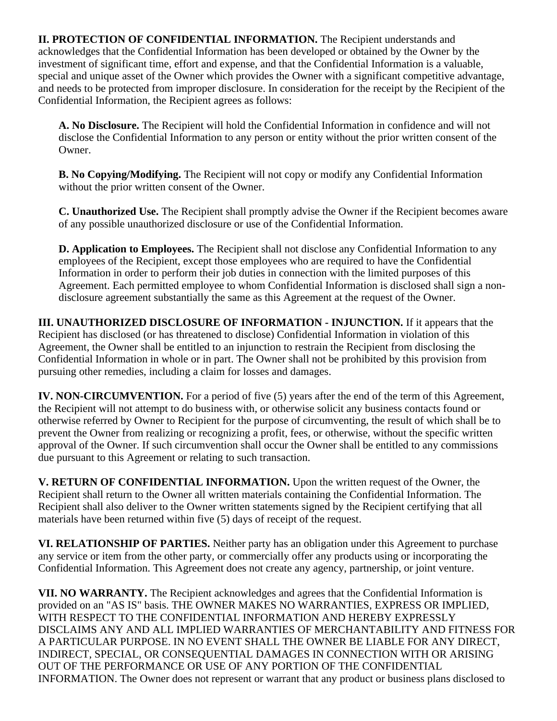**II. PROTECTION OF CONFIDENTIAL INFORMATION.** The Recipient understands and acknowledges that the Confidential Information has been developed or obtained by the Owner by the investment of significant time, effort and expense, and that the Confidential Information is a valuable, special and unique asset of the Owner which provides the Owner with a significant competitive advantage, and needs to be protected from improper disclosure. In consideration for the receipt by the Recipient of the Confidential Information, the Recipient agrees as follows:

**A. No Disclosure.** The Recipient will hold the Confidential Information in confidence and will not disclose the Confidential Information to any person or entity without the prior written consent of the Owner.

**B. No Copying/Modifying.** The Recipient will not copy or modify any Confidential Information without the prior written consent of the Owner.

**C. Unauthorized Use.** The Recipient shall promptly advise the Owner if the Recipient becomes aware of any possible unauthorized disclosure or use of the Confidential Information.

**D. Application to Employees.** The Recipient shall not disclose any Confidential Information to any employees of the Recipient, except those employees who are required to have the Confidential Information in order to perform their job duties in connection with the limited purposes of this Agreement. Each permitted employee to whom Confidential Information is disclosed shall sign a nondisclosure agreement substantially the same as this Agreement at the request of the Owner.

**III. UNAUTHORIZED DISCLOSURE OF INFORMATION - INJUNCTION.** If it appears that the Recipient has disclosed (or has threatened to disclose) Confidential Information in violation of this Agreement, the Owner shall be entitled to an injunction to restrain the Recipient from disclosing the Confidential Information in whole or in part. The Owner shall not be prohibited by this provision from pursuing other remedies, including a claim for losses and damages.

**IV. NON-CIRCUMVENTION.** For a period of five (5) years after the end of the term of this Agreement, the Recipient will not attempt to do business with, or otherwise solicit any business contacts found or otherwise referred by Owner to Recipient for the purpose of circumventing, the result of which shall be to prevent the Owner from realizing or recognizing a profit, fees, or otherwise, without the specific written approval of the Owner. If such circumvention shall occur the Owner shall be entitled to any commissions due pursuant to this Agreement or relating to such transaction.

**V. RETURN OF CONFIDENTIAL INFORMATION.** Upon the written request of the Owner, the Recipient shall return to the Owner all written materials containing the Confidential Information. The Recipient shall also deliver to the Owner written statements signed by the Recipient certifying that all materials have been returned within five (5) days of receipt of the request.

**VI. RELATIONSHIP OF PARTIES.** Neither party has an obligation under this Agreement to purchase any service or item from the other party, or commercially offer any products using or incorporating the Confidential Information. This Agreement does not create any agency, partnership, or joint venture.

**VII. NO WARRANTY.** The Recipient acknowledges and agrees that the Confidential Information is provided on an "AS IS" basis. THE OWNER MAKES NO WARRANTIES, EXPRESS OR IMPLIED, WITH RESPECT TO THE CONFIDENTIAL INFORMATION AND HEREBY EXPRESSLY DISCLAIMS ANY AND ALL IMPLIED WARRANTIES OF MERCHANTABILITY AND FITNESS FOR A PARTICULAR PURPOSE. IN NO EVENT SHALL THE OWNER BE LIABLE FOR ANY DIRECT, INDIRECT, SPECIAL, OR CONSEQUENTIAL DAMAGES IN CONNECTION WITH OR ARISING OUT OF THE PERFORMANCE OR USE OF ANY PORTION OF THE CONFIDENTIAL INFORMATION. The Owner does not represent or warrant that any product or business plans disclosed to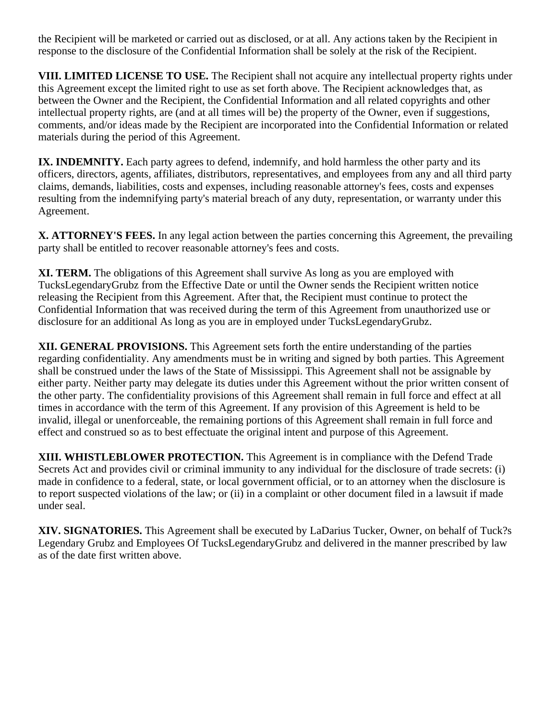the Recipient will be marketed or carried out as disclosed, or at all. Any actions taken by the Recipient in response to the disclosure of the Confidential Information shall be solely at the risk of the Recipient.

**VIII. LIMITED LICENSE TO USE.** The Recipient shall not acquire any intellectual property rights under this Agreement except the limited right to use as set forth above. The Recipient acknowledges that, as between the Owner and the Recipient, the Confidential Information and all related copyrights and other intellectual property rights, are (and at all times will be) the property of the Owner, even if suggestions, comments, and/or ideas made by the Recipient are incorporated into the Confidential Information or related materials during the period of this Agreement.

**IX. INDEMNITY.** Each party agrees to defend, indemnify, and hold harmless the other party and its officers, directors, agents, affiliates, distributors, representatives, and employees from any and all third party claims, demands, liabilities, costs and expenses, including reasonable attorney's fees, costs and expenses resulting from the indemnifying party's material breach of any duty, representation, or warranty under this Agreement.

**X. ATTORNEY'S FEES.** In any legal action between the parties concerning this Agreement, the prevailing party shall be entitled to recover reasonable attorney's fees and costs.

**XI. TERM.** The obligations of this Agreement shall survive As long as you are employed with TucksLegendaryGrubz from the Effective Date or until the Owner sends the Recipient written notice releasing the Recipient from this Agreement. After that, the Recipient must continue to protect the Confidential Information that was received during the term of this Agreement from unauthorized use or disclosure for an additional As long as you are in employed under TucksLegendaryGrubz.

**XII. GENERAL PROVISIONS.** This Agreement sets forth the entire understanding of the parties regarding confidentiality. Any amendments must be in writing and signed by both parties. This Agreement shall be construed under the laws of the State of Mississippi. This Agreement shall not be assignable by either party. Neither party may delegate its duties under this Agreement without the prior written consent of the other party. The confidentiality provisions of this Agreement shall remain in full force and effect at all times in accordance with the term of this Agreement. If any provision of this Agreement is held to be invalid, illegal or unenforceable, the remaining portions of this Agreement shall remain in full force and effect and construed so as to best effectuate the original intent and purpose of this Agreement.

**XIII. WHISTLEBLOWER PROTECTION.** This Agreement is in compliance with the Defend Trade Secrets Act and provides civil or criminal immunity to any individual for the disclosure of trade secrets: (i) made in confidence to a federal, state, or local government official, or to an attorney when the disclosure is to report suspected violations of the law; or (ii) in a complaint or other document filed in a lawsuit if made under seal.

**XIV. SIGNATORIES.** This Agreement shall be executed by LaDarius Tucker, Owner, on behalf of Tuck?s Legendary Grubz and Employees Of TucksLegendaryGrubz and delivered in the manner prescribed by law as of the date first written above.